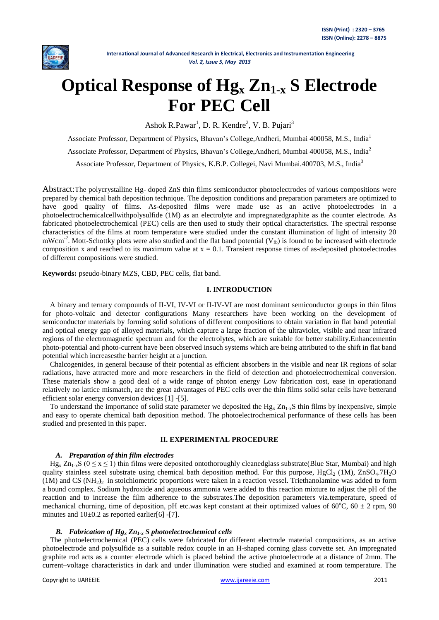

# **Optical Response of Hg<sup>x</sup> Zn1-x S Electrode For PEC Cell**

Ashok R.Pawar<sup>1</sup>, D. R. Kendre<sup>2</sup>, V. B. Pujari<sup>3</sup>

Associate Professor, Department of Physics, Bhavan's College,Andheri, Mumbai 400058, M.S., India<sup>1</sup> Associate Professor, Department of Physics, Bhavan's College,Andheri, Mumbai 400058, M.S., India<sup>2</sup> Associate Professor, Department of Physics, K.B.P. Collegei, Navi Mumbai.400703, M.S., India<sup>3</sup>

Abstract:The polycrystalline Hg- doped ZnS thin films semiconductor photoelectrodes of various compositions were prepared by chemical bath deposition technique. The deposition conditions and preparation parameters are optimized to have good quality of films. As-deposited films were made use as an active photoelectrodes in a photoelectrochemicalcellwithpolysulfide (1M) as an electrolyte and impregnatedgraphite as the counter electrode. As fabricated photoelectrochemical (PEC) cells are then used to study their optical characteristics. The spectral response characteristics of the films at room temperature were studied under the constant illumination of light of intensity 20  $mWcm<sup>-2</sup>$ . Mott-Schottky plots were also studied and the flat band potential ( $V_{fb}$ ) is found to be increased with electrode composition x and reached to its maximum value at  $x = 0.1$ . Transient response times of as-deposited photoelectrodes of different compositions were studied.

**Keywords:** pseudo-binary MZS, CBD, PEC cells, flat band.

## **I. INTRODUCTION**

A binary and ternary compounds of II-VI, IV-VI or II-IV-VI are most dominant semiconductor groups in thin films for photo-voltaic and detector configurations Many researchers have been working on the development of semiconductor materials by forming solid solutions of different compositions to obtain variation in flat band potential and optical energy gap of alloyed materials, which capture a large fraction of the ultraviolet, visible and near infrared regions of the electromagnetic spectrum and for the electrolytes, which are suitable for better stability.Enhancementin photo-potential and photo-current have been observed insuch systems which are being attributed to the shift in flat band potential which increasesthe barrier height at a junction.

Chalcogenides, in general because of their potential as efficient absorbers in the visible and near IR regions of solar radiations, have attracted more and more researchers in the field of detection and photoelectrochemical conversion. These materials show a good deal of a wide range of photon energy Low fabrication cost, ease in operationand relatively no lattice mismatch, are the great advantages of PEC cells over the thin films solid solar cells have betterand efficient solar energy conversion devices [1] -[5].

To understand the importance of solid state parameter we deposited the  $Hg_x Zn_{1-x}S$  thin films by inexpensive, simple and easy to operate chemical bath deposition method. The photoelectrochemical performance of these cells has been studied and presented in this paper.

## **II. EXPERIMENTAL PROCEDURE**

# *A. Preparation of thin film electrodes*

 $Hg_x Zn_{1-x}S$  ( $0 \le x \le 1$ ) thin films were deposited ontothoroughly cleanedglass substrate(Blue Star, Mumbai) and high quality stainless steel substrate using chemical bath deposition method. For this purpose,  $HgCl_2$  (1M),  $ZnSO_4$ .7H<sub>2</sub>O  $(1M)$  and CS  $(NH<sub>2</sub>)$ <sub>2</sub> in stoichiometric proportions were taken in a reaction vessel. Triethanolamine was added to form a bound complex. Sodium hydroxide and aqueous ammonia were added to this reaction mixture to adjust the pH of the reaction and to increase the film adherence to the substrates.The deposition parameters viz.temperature, speed of mechanical churning, time of deposition, pH etc.was kept constant at their optimized values of  $60^{\circ}$ C,  $60 \pm 2$  rpm, 90 minutes and  $10\pm0.2$  as reported earlier[6] -[7].

## *B. Fabrication of Hg<sup>x</sup> Zn1-x S photoelectrochemical cells*

The photoelectrochemical (PEC) cells were fabricated for different electrode material compositions, as an active photoelectrode and polysulfide as a suitable redox couple in an H-shaped corning glass corvette set. An impregnated graphite rod acts as a counter electrode which is placed behind the active photoelectrode at a distance of 2mm. The current–voltage characteristics in dark and under illumination were studied and examined at room temperature. The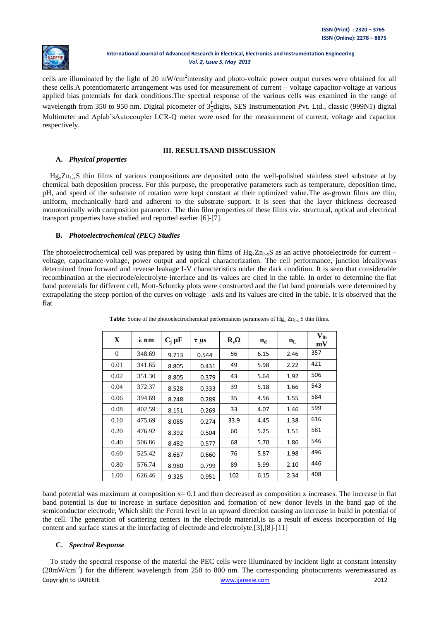

cells are illuminated by the light of 20 mW/cm<sup>2</sup>intensity and photo-voltaic power output curves were obtained for all these cells.A potentiomateric arrangement was used for measurement of current – voltage capacitor-voltage at various applied bias potentials for dark conditions.The spectral response of the various cells was examined in the range of wavelength from 350 to 950 nm. Digital picometer of  $3\frac{1}{2}$ digits, SES Instrumentation Pvt. Ltd., classic (999N1) digital Multimeter and Aplab'sAutocoupler LCR-Q meter were used for the measurement of current, voltage and capacitor respectively.

## **III. RESULTSAND DISSCUSSION**

# **A.** *Physical properties*

 $Hg_xZn_{1-x}S$  thin films of various compositions are deposited onto the well-polished stainless steel substrate at by chemical bath deposition process. For this purpose, the preoperative parameters such as temperature, deposition time, pH, and speed of the substrate of rotation were kept constant at their optimized value.The as-grown films are thin, uniform, mechanically hard and adherent to the substrate support. It is seen that the layer thickness decreased monotonically with composition parameter. The thin film properties of these films viz. structural, optical and electrical transport properties have studied and reported earlier [6]-[7].

# **B.** *Photoelectrochemical (PEC) Studies*

The photoelectrochemical cell was prepared by using thin films of  $Hg_x Zn_{1-x}S$  as an active photoelectrode for current – voltage, capacitance-voltage, power output and optical characterization. The cell performance, junction idealitywas determined from forward and reverse leakage I-V characteristics under the dark condition. It is seen that considerable recombination at the electrode/electrolyte interface and its values are cited in the table. In order to determine the flat band potentials for different cell, Mott-Schottky plots were constructed and the flat band potentials were determined by extrapolating the steep portion of the curves on voltage –axis and its values are cited in the table. It is observed that the flat

| X        | $\lambda$ nm | $C_i \mu F$ | $\tau \mu s$ | $R_s\Omega$ | $n_{\rm d}$ | $n_{L}$ | $V_{\text{fb}}$<br>mV |
|----------|--------------|-------------|--------------|-------------|-------------|---------|-----------------------|
| $\Omega$ | 348.69       | 9.713       | 0.544        | 56          | 6.15        | 2.46    | 357                   |
| 0.01     | 341.65       | 8.805       | 0.431        | 49          | 5.98        | 2.22    | 421                   |
| 0.02     | 351.30       | 8.805       | 0.379        | 43          | 5.64        | 1.92    | 506                   |
| 0.04     | 372.37       | 8.528       | 0.333        | 39          | 5.18        | 1.66    | 543                   |
| 0.06     | 394.69       | 8.248       | 0.289        | 35          | 4.56        | 1.55    | 584                   |
| 0.08     | 402.59       | 8.151       | 0.269        | 33          | 4.07        | 1.46    | 599                   |
| 0.10     | 475.69       | 8.085       | 0.274        | 33.9        | 4.45        | 1.38    | 616                   |
| 0.20     | 476.92       | 8.392       | 0.504        | 60          | 5.25        | 1.51    | 581                   |
| 0.40     | 506.86       | 8.482       | 0.577        | 68          | 5.70        | 1.86    | 546                   |
| 0.60     | 525.42       | 8.687       | 0.660        | 76          | 5.87        | 1.98    | 496                   |
| 0.80     | 576.74       | 8.980       | 0.799        | 89          | 5.99        | 2.10    | 446                   |
| 1.00     | 626.46       | 9.325       | 0.951        | 102         | 6.15        | 2.34    | 408                   |

**Table:** Some of the photoelectrochemical performances parameters of  $Hg_x Zn_{1-x} S$  thin films.

band potential was maximum at composition  $x= 0.1$  and then decreased as composition x increases. The increase in flat band potential is due to increase in surface deposition and formation of new donor levels in the band gap of the semiconductor electrode, Which shift the Fermi level in an upward direction causing an increase in build in potential of the cell. The generation of scattering centers in the electrode material,is as a result of excess incorporation of Hg content and surface states at the interfacing of electrode and electrolyte.[3],[8]-[11]

# **C.** *Spectral Response*

Copyright to IJAREEIE [www.ijareeie.com](http://www.ijareeie.com/) 2012 To study the spectral response of the material the PEC cells were illuminated by incident light at constant intensity  $(20mW/cm<sup>-2</sup>)$  for the different wavelength from 250 to 800 nm. The corresponding photocurrents weremeasured as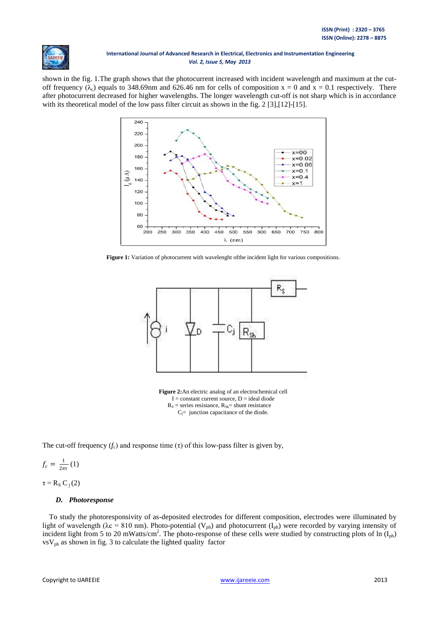

shown in the fig. 1.The graph shows that the photocurrent increased with incident wavelength and maximum at the cutoff frequency ( $\lambda_c$ ) equals to 348.69nm and 626.46 nm for cells of composition x = 0 and x = 0.1 respectively. There after photocurrent decreased for higher wavelengths. The longer wavelength cut-off is not sharp which is in accordance with its theoretical model of the low pass filter circuit as shown in the fig. 2 [3], [12]-[15].



Figure 1: Variation of photocurrent with wavelenght of the incident light for various compositions.



**Figure 2:**An electric analog of an electrochemical cell  $I = constant current source, D = ideal diode$  $R_s$  = series resistance,  $R_{Sh}$  = shunt resistance  $C_j$ = junction capacitance of the diode.

The cut-off frequency  $(f_c)$  and response time  $(\tau)$  of this low-pass filter is given by,

 $f_c = \frac{1}{2\pi}$  $\frac{1}{2\pi\tau}(1)$ 

 $\tau = R_s C_i(2)$ 

## *D. Photoresponse*

To study the photoresponsivity of as-deposited electrodes for different composition, electrodes were illuminated by light of wavelength ( $\lambda c = 810$  nm). Photo-potential ( $V_{ph}$ ) and photocurrent ( $I_{ph}$ ) were recorded by varying intensity of incident light from 5 to 20 mWatts/cm<sup>2</sup>. The photo-response of these cells were studied by constructing plots of ln  $(I_{ph})$  $\text{vsV}_{\text{ph}}$  as shown in fig. 3 to calculate the lighted quality factor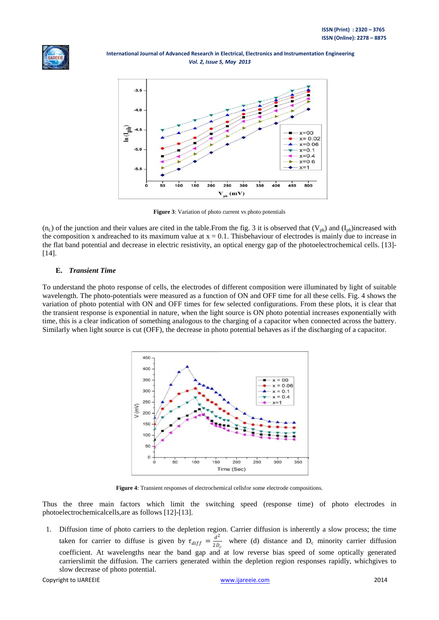



**Figure 3**: Variation of photo current vs photo potentials

 $(n_L)$  of the junction and their values are cited in the table. From the fig. 3 it is observed that  $(V_{ph})$  and  $(I_{ph})$  increased with the composition x andreached to its maximum value at  $x = 0.1$ . This behaviour of electrodes is mainly due to increase in the flat band potential and decrease in electric resistivity, an optical energy gap of the photoelectrochemical cells. [13]- [14].

# **E.** *Transient Time*

To understand the photo response of cells, the electrodes of different composition were illuminated by light of suitable wavelength. The photo-potentials were measured as a function of ON and OFF time for all these cells. Fig. 4 shows the variation of photo potential with ON and OFF times for few selected configurations. From these plots, it is clear that the transient response is exponential in nature, when the light source is ON photo potential increases exponentially with time, this is a clear indication of something analogous to the charging of a capacitor when connected across the battery. Similarly when light source is cut (OFF), the decrease in photo potential behaves as if the discharging of a capacitor.



**Figure 4**: Transient responses of electrochemical cellsfor some electrode compositions.

Thus the three main factors which limit the switching speed (response time) of photo electrodes in photoelectrochemicalcells,are as follows [12]-[13].

1. Diffusion time of photo carriers to the depletion region. Carrier diffusion is inherently a slow process; the time taken for carrier to diffuse is given by  $\tau_{diff} = \frac{d^2}{2R}$  $\frac{a}{2D_c}$  where (d) distance and D<sub>c</sub> minority carrier diffusion coefficient. At wavelengths near the band gap and at low reverse bias speed of some optically generated carrierslimit the diffusion. The carriers generated within the depletion region responses rapidly, whichgives to slow decrease of photo potential.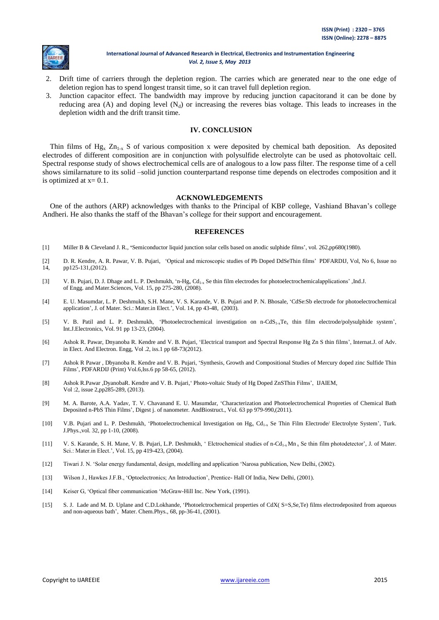

- 2. Drift time of carriers through the depletion region. The carries which are generated near to the one edge of deletion region has to spend longest transit time, so it can travel full depletion region.
- 3. Junction capacitor effect. The bandwidth may improve by reducing junction capacitorand it can be done by reducing area (A) and doping level  $(N_d)$  or increasing the reveres bias voltage. This leads to increases in the depletion width and the drift transit time.

#### **IV. CONCLUSION**

Thin films of Hg<sub>x</sub>  $\rm Zn_{1-x}$  S of various composition x were deposited by chemical bath deposition. As deposited electrodes of different composition are in conjunction with polysulfide electrolyte can be used as photovoltaic cell. Spectral response study of shows electrochemical cells are of analogous to a low pass filter. The response time of a cell shows similarnature to its solid –solid junction counterpartand response time depends on electrodes composition and it is optimized at  $x=0.1$ .

#### **ACKNOWLEDGEMENTS**

One of the authors (ARP) acknowledges with thanks to the Principal of KBP college, Vashiand Bhavan's college Andheri. He also thanks the staff of the Bhavan's college for their support and encouragement.

#### **REFERENCES**

- [1] Miller B & Cleveland J. R., **'**Semiconductor liquid junction solar cells based on anodic sulphide films', vol. 262,pp680(1980).
- [2] D. R. Kendre, A. R. Pawar, V. B. Pujari, 'Optical and microscopic studies of Pb Doped DdSeThin films' PDFARDIJ, Vol, No 6, Issue no 14, pp125-131,(2012).
- [3] V. B. Pujari, D. J. Dhage and L. P. Deshmukh, 'n-Hg<sub>x</sub> Cd<sub>1-x</sub> Se thin film electrodes for photoelectrochemicalapplications' ,Ind.J. of Engg. and Mater.Sciences, Vol. 15, pp 275-280, (2008).
- [4] E. U. Masumdar, L. P. Deshmukh, S.H. Mane, V. S. Karande, V. B. Pujari and P. N. Bhosale, 'CdSe:Sb electrode for photoelectrochemical application', J. of Mater. Sci.: Mater.in Elect.', Vol. 14, pp 43-48, (2003).
- [5] V. B. Patil and L. P. Deshmukh, 'Photoelectrochemical investigation on n-CdS1-xTe<sup>x</sup> thin film electrode/polysulphide system', Int.J.Electronics, Vol. 91 pp 13-23, (2004).
- [6] Ashok R. Pawar, Dnyanoba R. Kendre and V. B. Pujari, 'Electrical transport and Spectral Response Hg Zn S thin films', Internat.J. of Adv. in Elect. And Electron. Engg, Vol .2, iss.1 pp 68-73(2012).
- [7] Ashok R Pawar , Dbyanoba R. Kendre and V. B. Pujari, 'Synthesis, Growth and Compositional Studies of Mercury doped zinc Sulfide Thin Films', PDFARDIJ (Print) Vol.6,Iss.6 pp 58-65, (2012).
- [8] Ashok R.Pawar ,DyanobaR. Kendre and V. B. Pujari,' Photo-voltaic Study of Hg Doped ZnSThin Films', IJAIEM, Vol :2, issue 2,pp285-289, (2013).
- [9] M. A. Barote, A.A. Yadav, T. V. Chavanand E. U. Masumdar, 'Characterization and Photoelectrochemical Propreties of Chemical Bath Deposited n-PbS Thin Films', Digest j. of nanometer. AndBiostruct., Vol. 63 pp 979-990,(2011).
- [10] V.B. Pujari and L. P. Deshmukh, 'Photoelectrochemical Investigation on Hg<sub>x</sub> Cd<sub>1-x</sub> Se Thin Film Electrode/ Electrolyte System', Turk. J.Phys.,vol. 32, pp 1-10, (2008).
- [11] V. S. Karande, S. H. Mane, V. B. Pujari, L.P. Deshmukh, ' Elctrochemical studies of n-Cd<sub>1-x</sub> Mn<sub>x</sub> Se thin film photodetector', J. of Mater. Sci.: Mater.in Elect.', Vol. 15, pp 419-423, (2004).
- [12] Tiwari J. N. 'Solar energy fundamental, design, modelling and application 'Narosa publication, New Delhi, (2002).
- [13] Wilson J., Hawkes J.F.B., 'Optoelectronics; An Introduction', Prentice- Hall Of India, New Delhi, (2001).
- [14] Keiser G, 'Optical fiber communication 'McGraw-Hill Inc. New York, (1991).
- [15] S. J. Lade and M. D. Uplane and C.D.Lokhande, 'Photoelctrochemical properties of CdX( S=S,Se,Te) films electrodeposited from aqueous and non-aqueous bath', Mater. Chem.Phys., 68, pp-36-41, (2001).